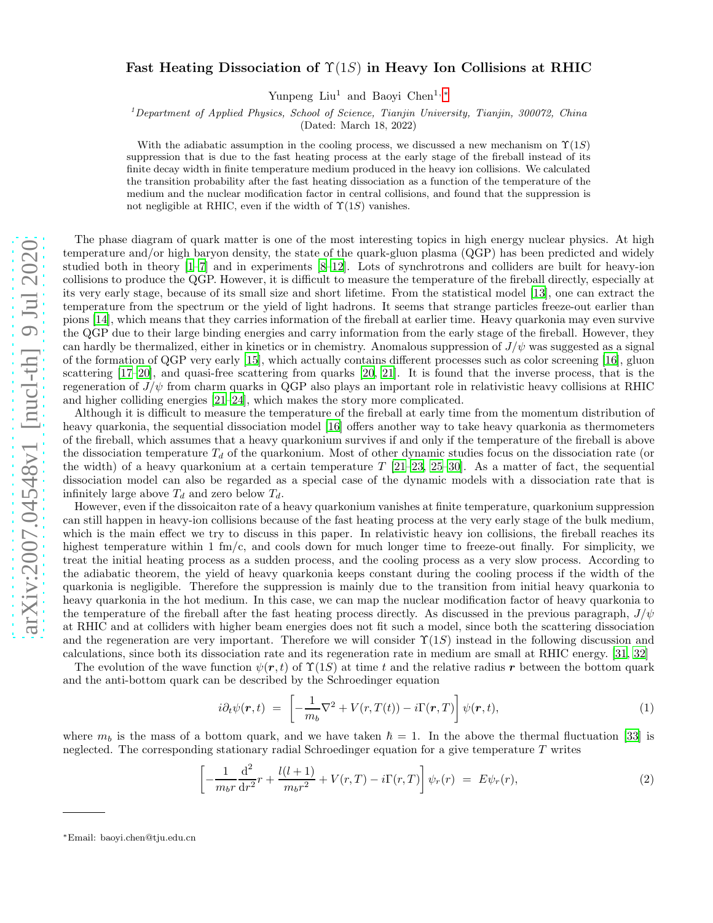## Fast Heating Dissociation of  $\Upsilon(1S)$  in Heavy Ion Collisions at RHIC

Yunpeng Liu<sup>1</sup> and Baoyi Chen<sup>1,[∗](#page-0-0)</sup>

<sup>1</sup>Department of Applied Physics, School of Science, Tianjin University, Tianjin, 300072, China

(Dated: March 18, 2022)

With the adiabatic assumption in the cooling process, we discussed a new mechanism on  $\Upsilon(1S)$ suppression that is due to the fast heating process at the early stage of the fireball instead of its finite decay width in finite temperature medium produced in the heavy ion collisions. We calculated the transition probability after the fast heating dissociation as a function of the temperature of the medium and the nuclear modification factor in central collisions, and found that the suppression is not negligible at RHIC, even if the width of  $\Upsilon(1S)$  vanishes.

The phase diagram of quark matter is one of the most interesting topics in high energy nuclear physics. At high temperature and/or high baryon density, the state of the quark-gluon plasma (QGP) has been predicted and widely studied both in theory [\[1](#page-4-0)[–7](#page-4-1)] and in experiments [\[8](#page-4-2)[–12](#page-4-3)]. Lots of synchrotrons and colliders are built for heavy-ion collisions to produce the QGP. However, it is difficult to measure the temperature of the fireball directly, especially at its very early stage, because of its small size and short lifetime. From the statistical model [\[13](#page-4-4)], one can extract the temperature from the spectrum or the yield of light hadrons. It seems that strange particles freeze-out earlier than pions [\[14](#page-4-5)], which means that they carries information of the fireball at earlier time. Heavy quarkonia may even survive the QGP due to their large binding energies and carry information from the early stage of the fireball. However, they can hardly be thermalized, either in kinetics or in chemistry. Anomalous suppression of  $J/\psi$  was suggested as a signal of the formation of QGP very early [\[15\]](#page-4-6), which actually contains different processes such as color screening [\[16\]](#page-4-7), gluon scattering [\[17](#page-4-8)[–20\]](#page-4-9), and quasi-free scattering from quarks [\[20,](#page-4-9) [21](#page-4-10)]. It is found that the inverse process, that is the regeneration of  $J/\psi$  from charm quarks in QGP also plays an important role in relativistic heavy collisions at RHIC and higher colliding energies [\[21](#page-4-10)[–24](#page-4-11)], which makes the story more complicated.

Although it is difficult to measure the temperature of the fireball at early time from the momentum distribution of heavy quarkonia, the sequential dissociation model [\[16\]](#page-4-7) offers another way to take heavy quarkonia as thermometers of the fireball, which assumes that a heavy quarkonium survives if and only if the temperature of the fireball is above the dissociation temperature  $T<sub>d</sub>$  of the quarkonium. Most of other dynamic studies focus on the dissociation rate (or the width) of a heavy quarkonium at a certain temperature  $T$  [\[21](#page-4-10)[–23,](#page-4-12) [25](#page-4-13)[–30](#page-4-14)]. As a matter of fact, the sequential dissociation model can also be regarded as a special case of the dynamic models with a dissociation rate that is infinitely large above  $T_d$  and zero below  $T_d$ .

However, even if the dissoicaiton rate of a heavy quarkonium vanishes at finite temperature, quarkonium suppression can still happen in heavy-ion collisions because of the fast heating process at the very early stage of the bulk medium, which is the main effect we try to discuss in this paper. In relativistic heavy ion collisions, the fireball reaches its highest temperature within 1 fm/c, and cools down for much longer time to freeze-out finally. For simplicity, we treat the initial heating process as a sudden process, and the cooling process as a very slow process. According to the adiabatic theorem, the yield of heavy quarkonia keeps constant during the cooling process if the width of the quarkonia is negligible. Therefore the suppression is mainly due to the transition from initial heavy quarkonia to heavy quarkonia in the hot medium. In this case, we can map the nuclear modification factor of heavy quarkonia to the temperature of the fireball after the fast heating process directly. As discussed in the previous paragraph,  $J/\psi$ at RHIC and at colliders with higher beam energies does not fit such a model, since both the scattering dissociation and the regeneration are very important. Therefore we will consider  $\Upsilon(1S)$  instead in the following discussion and calculations, since both its dissociation rate and its regeneration rate in medium are small at RHIC energy. [\[31,](#page-4-15) [32\]](#page-4-16)

The evolution of the wave function  $\psi(r, t)$  of  $\Upsilon(1S)$  at time t and the relative radius r between the bottom quark and the anti-bottom quark can be described by the Schroedinger equation

<span id="page-0-1"></span>
$$
i\partial_t \psi(\mathbf{r},t) = \left[ -\frac{1}{m_b} \nabla^2 + V(r,T(t)) - i\Gamma(\mathbf{r},T) \right] \psi(\mathbf{r},t), \tag{1}
$$

where  $m_b$  is the mass of a bottom quark, and we have taken  $\hbar = 1$ . In the above the thermal fluctuation [\[33\]](#page-4-17) is neglected. The corresponding stationary radial Schroedinger equation for a give temperature T writes

$$
\left[ -\frac{1}{m_b r} \frac{d^2}{dr^2} r + \frac{l(l+1)}{m_b r^2} + V(r, T) - i\Gamma(r, T) \right] \psi_r(r) = E \psi_r(r), \tag{2}
$$

<span id="page-0-0"></span><sup>∗</sup>Email: baoyi.chen@tju.edu.cn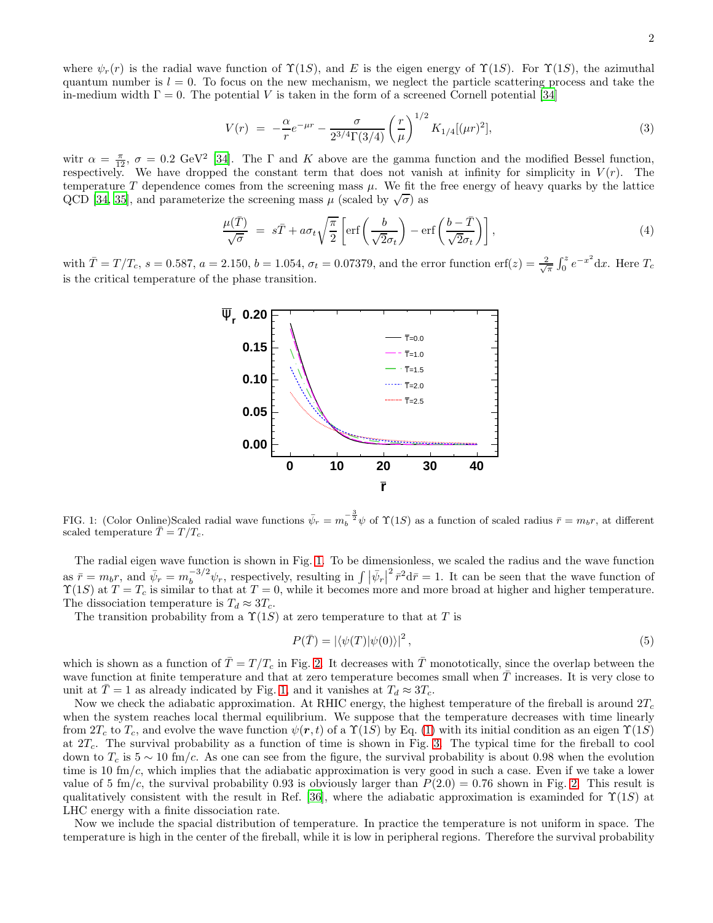where  $\psi_r(r)$  is the radial wave function of  $\Upsilon(1S)$ , and E is the eigen energy of  $\Upsilon(1S)$ . For  $\Upsilon(1S)$ , the azimuthal quantum number is  $l = 0$ . To focus on the new mechanism, we neglect the particle scattering process and take the in-medium width  $\Gamma = 0$ . The potential V is taken in the form of a screened Cornell potential [\[34\]](#page-4-18)

$$
V(r) = -\frac{\alpha}{r}e^{-\mu r} - \frac{\sigma}{2^{3/4}\Gamma(3/4)} \left(\frac{r}{\mu}\right)^{1/2} K_{1/4}[(\mu r)^2],\tag{3}
$$

witr  $\alpha = \frac{\pi}{12}$ ,  $\sigma = 0.2$  GeV<sup>2</sup> [\[34\]](#page-4-18). The  $\Gamma$  and K above are the gamma function and the modified Bessel function, respectively. We have dropped the constant term that does not vanish at infinity for simplicity in  $V(r)$ . The temperature  $T$  dependence comes from the screening mass  $\mu$ . We fit the free energy of heavy quarks by the lattice QCD [\[34,](#page-4-18) [35\]](#page-4-19), and parameterize the screening mass  $\mu$  (scaled by  $\sqrt{\sigma}$ ) as

$$
\frac{\mu(\bar{T})}{\sqrt{\sigma}} = s\bar{T} + a\sigma_t \sqrt{\frac{\pi}{2}} \left[ \text{erf}\left(\frac{b}{\sqrt{2}\sigma_t}\right) - \text{erf}\left(\frac{b-\bar{T}}{\sqrt{2}\sigma_t}\right) \right],\tag{4}
$$

with  $\bar{T} = T/T_c$ ,  $s = 0.587$ ,  $a = 2.150$ ,  $b = 1.054$ ,  $\sigma_t = 0.07379$ , and the error function erf(z) =  $\frac{2}{\sqrt{\pi}} \int_0^z e^{-x^2} dx$ . Here  $T_c$ is the critical temperature of the phase transition.



<span id="page-1-0"></span>FIG. 1: (Color Online)Scaled radial wave functions  $\bar{\psi}_r = m_b^{-\frac{3}{2}}\psi$  of  $\Upsilon(1S)$  as a function of scaled radius  $\bar{r} = m_b r$ , at different scaled temperature  $\bar{T} = T / T_c$ .

The radial eigen wave function is shown in Fig. [1.](#page-1-0) To be dimensionless, we scaled the radius and the wave function as  $\bar{r} = m_b r$ , and  $\bar{\psi}_r = m_b^{-3/2} \psi_r$ , respectively, resulting in  $\int |\bar{\psi}_r|$  $\frac{1}{r^2}d\bar{r}=1$ . It can be seen that the wave function of  $\Upsilon(1S)$  at  $T = T_c$  is similar to that at  $T = 0$ , while it becomes more and more broad at higher and higher temperature. The dissociation temperature is  $T_d \approx 3T_c$ .

The transition probability from a  $\Upsilon(1S)$  at zero temperature to that at T is

<span id="page-1-1"></span>
$$
P(\bar{T}) = |\langle \psi(T) | \psi(0) \rangle|^2, \tag{5}
$$

which is shown as a function of  $\overline{T} = T/T_c$  in Fig. [2.](#page-2-0) It decreases with  $\overline{T}$  monototically, since the overlap between the wave function at finite temperature and that at zero temperature becomes small when  $T$  increases. It is very close to unit at  $\overline{T} = 1$  as already indicated by Fig. [1,](#page-1-0) and it vanishes at  $T_d \approx 3T_c$ .

Now we check the adiabatic approximation. At RHIC energy, the highest temperature of the fireball is around  $2T_c$ when the system reaches local thermal equilibrium. We suppose that the temperature decreases with time linearly from  $2T_c$  to  $T_c$ , and evolve the wave function  $\psi(\mathbf{r},t)$  of a  $\Upsilon(1S)$  by Eq. [\(1\)](#page-0-1) with its initial condition as an eigen  $\Upsilon(1S)$ at  $2T_c$ . The survival probability as a function of time is shown in Fig. [3.](#page-2-1) The typical time for the fireball to cool down to  $T_c$  is  $5 \sim 10$  fm/c. As one can see from the figure, the survival probability is about 0.98 when the evolution time is 10 fm/c, which implies that the adiabatic approximation is very good in such a case. Even if we take a lower value of 5 fm/c, the survival probability 0.93 is obviously larger than  $P(2.0) = 0.76$  shown in Fig. [2.](#page-2-0) This result is qualitatively consistent with the result in Ref. [\[36\]](#page-4-20), where the adiabatic approximation is examinded for  $\Upsilon(1S)$  at LHC energy with a finite dissociation rate.

Now we include the spacial distribution of temperature. In practice the temperature is not uniform in space. The temperature is high in the center of the fireball, while it is low in peripheral regions. Therefore the survival probability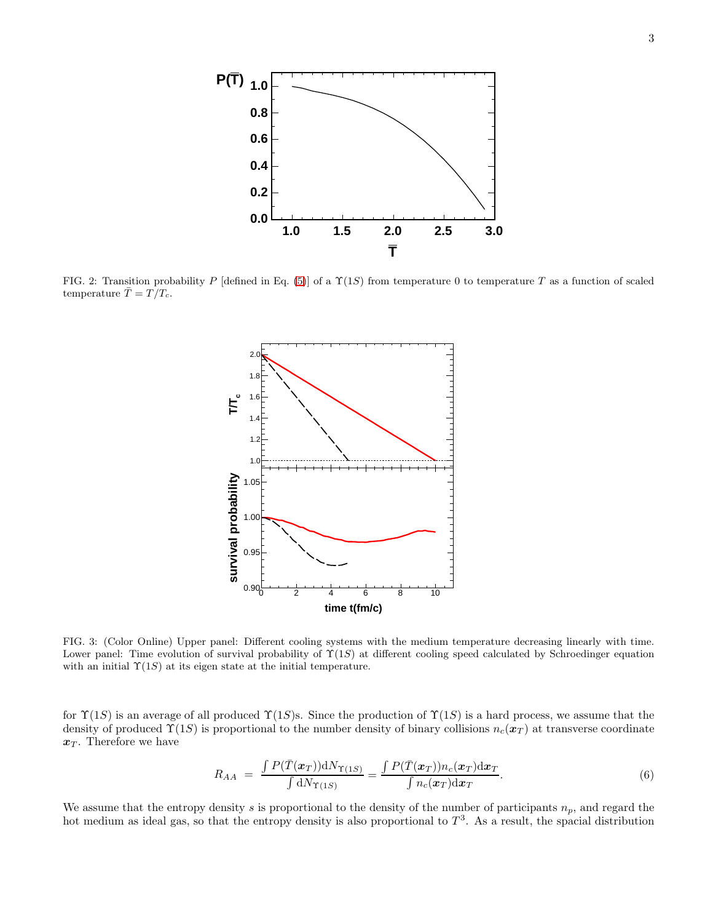

<span id="page-2-0"></span>FIG. 2: Transition probability P [defined in Eq. [\(5\)](#page-1-1)] of a  $\Upsilon(1S)$  from temperature 0 to temperature T as a function of scaled temperature  $\overline{T} = T / T_c$ .



<span id="page-2-1"></span>FIG. 3: (Color Online) Upper panel: Different cooling systems with the medium temperature decreasing linearly with time. Lower panel: Time evolution of survival probability of  $\Upsilon(1S)$  at different cooling speed calculated by Schroedinger equation with an initial  $\Upsilon(1S)$  at its eigen state at the initial temperature.

for  $\Upsilon(1S)$  is an average of all produced  $\Upsilon(1S)$ s. Since the production of  $\Upsilon(1S)$  is a hard process, we assume that the density of produced  $\Upsilon(1S)$  is proportional to the number density of binary collisions  $n_c(\mathbf{x}_T)$  at transverse coordinate  $x_T$ . Therefore we have

<span id="page-2-2"></span>
$$
R_{AA} = \frac{\int P(\bar{T}(\boldsymbol{x}_T)) \mathrm{d}N_{\Upsilon(1S)}}{\int \mathrm{d}N_{\Upsilon(1S)}} = \frac{\int P(\bar{T}(\boldsymbol{x}_T)) n_c(\boldsymbol{x}_T) \mathrm{d}\boldsymbol{x}_T}{\int n_c(\boldsymbol{x}_T) \mathrm{d}\boldsymbol{x}_T}.
$$
\n
$$
(6)
$$

We assume that the entropy density s is proportional to the density of the number of participants  $n_p$ , and regard the hot medium as ideal gas, so that the entropy density is also proportional to  $T^3$ . As a result, the spacial distribution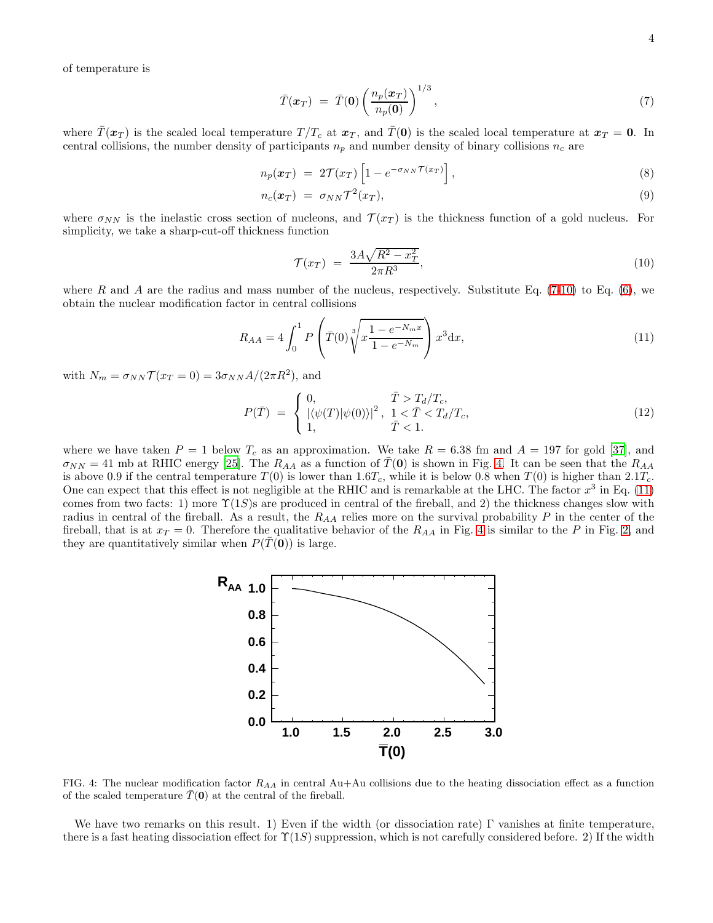of temperature is

<span id="page-3-0"></span>
$$
\bar{T}(\boldsymbol{x}_T) = \bar{T}(\mathbf{0}) \left( \frac{n_p(\boldsymbol{x}_T)}{n_p(\mathbf{0})} \right)^{1/3}, \qquad (7)
$$

where  $\bar{T}(\boldsymbol{x}_T)$  is the scaled local temperature  $T/T_c$  at  $\boldsymbol{x}_T$ , and  $\bar{T}(0)$  is the scaled local temperature at  $\boldsymbol{x}_T = \boldsymbol{0}$ . In central collisions, the number density of participants  $n_p$  and number density of binary collisions  $n_c$  are

$$
n_p(\boldsymbol{x}_T) = 2\mathcal{T}(x_T) \left[ 1 - e^{-\sigma_{NN} \mathcal{T}(x_T)} \right], \tag{8}
$$

$$
n_c(\boldsymbol{x}_T) = \sigma_{NN} \mathcal{T}^2(x_T), \qquad (9)
$$

where  $\sigma_{NN}$  is the inelastic cross section of nucleons, and  $\mathcal{T}(x_T)$  is the thickness function of a gold nucleus. For simplicity, we take a sharp-cut-off thickness function

<span id="page-3-1"></span>
$$
\mathcal{T}(x_T) = \frac{3A\sqrt{R^2 - x_T^2}}{2\pi R^3},\tag{10}
$$

where R and A are the radius and mass number of the nucleus, respectively. Substitute Eq.  $(7-10)$  $(7-10)$  to Eq.  $(6)$ , we obtain the nuclear modification factor in central collisions

<span id="page-3-3"></span>
$$
R_{AA} = 4 \int_0^1 P\left(\bar{T}(0) \sqrt[3]{x \frac{1 - e^{-N_m x}}{1 - e^{-N_m}}}\right) x^3 \, dx,\tag{11}
$$

with  $N_m = \sigma_{NN} \mathcal{T}(x_T = 0) = 3\sigma_{NN} A/(2\pi R^2)$ , and

$$
P(\bar{T}) = \begin{cases} 0, & \bar{T} > T_d/T_c, \\ |\langle \psi(T) | \psi(0) \rangle|^2, & 1 < \bar{T} < T_d/T_c, \\ 1, & \bar{T} < 1. \end{cases}
$$
 (12)

where we have taken  $P = 1$  below  $T_c$  as an approximation. We take  $R = 6.38$  fm and  $A = 197$  for gold [\[37\]](#page-4-21), and  $\sigma_{NN} = 41$  mb at RHIC energy [\[25](#page-4-13)]. The  $R_{AA}$  as a function of  $T(0)$  is shown in Fig. [4.](#page-3-2) It can be seen that the  $R_{AA}$ is above 0.9 if the central temperature  $T(0)$  is lower than 1.6T<sub>c</sub>, while it is below 0.8 when  $T(0)$  is higher than 2.1T<sub>c</sub>. One can expect that this effect is not negligible at the RHIC and is remarkable at the LHC. The factor  $x^3$  in Eq. [\(11\)](#page-3-3) comes from two facts: 1) more  $\Upsilon(1S)$ s are produced in central of the fireball, and 2) the thickness changes slow with radius in central of the fireball. As a result, the  $R_{AA}$  relies more on the survival probability P in the center of the fireball, that is at  $x_T = 0$ . Therefore the qualitative behavior of the  $R_{AA}$  in Fig. [4](#page-3-2) is similar to the P in Fig. [2,](#page-2-0) and they are quantitatively similar when  $P(T(0))$  is large.



<span id="page-3-2"></span>FIG. 4: The nuclear modification factor  $R_{AA}$  in central Au+Au collisions due to the heating dissociation effect as a function of the scaled temperature  $T(0)$  at the central of the fireball.

We have two remarks on this result. 1) Even if the width (or dissociation rate) Γ vanishes at finite temperature, there is a fast heating dissociation effect for  $\Upsilon(1S)$  suppression, which is not carefully considered before. 2) If the width